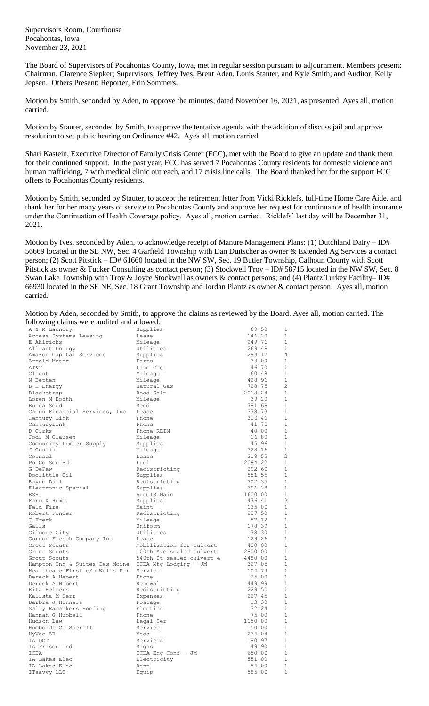Supervisors Room, Courthouse Pocahontas, Iowa November 23, 2021

The Board of Supervisors of Pocahontas County, Iowa, met in regular session pursuant to adjournment. Members present: Chairman, Clarence Siepker; Supervisors, Jeffrey Ives, Brent Aden, Louis Stauter, and Kyle Smith; and Auditor, Kelly Jepsen. Others Present: Reporter, Erin Sommers.

Motion by Smith, seconded by Aden, to approve the minutes, dated November 16, 2021, as presented. Ayes all, motion carried.

Motion by Stauter, seconded by Smith, to approve the tentative agenda with the addition of discuss jail and approve resolution to set public hearing on Ordinance #42. Ayes all, motion carried.

Shari Kastein, Executive Director of Family Crisis Center (FCC), met with the Board to give an update and thank them for their continued support. In the past year, FCC has served 7 Pocahontas County residents for domestic violence and human trafficking, 7 with medical clinic outreach, and 17 crisis line calls. The Board thanked her for the support FCC offers to Pocahontas County residents.

Motion by Smith, seconded by Stauter, to accept the retirement letter from Vicki Ricklefs, full-time Home Care Aide, and thank her for her many years of service to Pocahontas County and approve her request for continuance of health insurance under the Continuation of Health Coverage policy. Ayes all, motion carried. Ricklefs' last day will be December 31, 2021.

Motion by Ives, seconded by Aden, to acknowledge receipt of Manure Management Plans: (1) Dutchland Dairy – ID# 56669 located in the SE NW, Sec. 4 Garfield Township with Dan Duitscher as owner & Extended Ag Services a contact person; (2) Scott Pitstick – ID# 61660 located in the NW SW, Sec. 19 Butler Township, Calhoun County with Scott Pitstick as owner & Tucker Consulting as contact person; (3) Stockwell Troy – ID# 58715 located in the NW SW, Sec. 8 Swan Lake Township with Troy & Joyce Stockwell as owners & contact persons; and (4) Plantz Turkey Facility– ID# 66930 located in the SE NE, Sec. 18 Grant Township and Jordan Plantz as owner & contact person. Ayes all, motion carried.

Motion by Aden, seconded by Smith, to approve the claims as reviewed by the Board. Ayes all, motion carried. The following claims were audited and allowed:

| A & M Laundry                  | Supplies                  | 69.50             | $\mathbf{1}$   |
|--------------------------------|---------------------------|-------------------|----------------|
| Access Systems Leasing         | Lease                     | 146.20            | 1              |
| E Ahlrichs                     | Mileage                   | 249.76            | $\mathbf{1}$   |
| Alliant Energy                 | Utilities                 | 269.48            | $\mathbf{1}$   |
| Amazon Capital Services        | Supplies                  | 293.12            | 4              |
| Arnold Motor                   | Parts                     | 33.09             | 1              |
| AT&T                           | Line Chq                  | 46.70             | $\mathbf{1}$   |
| Client                         | Mileage                   | 60.48             | 1              |
| N Betten                       | Mileage                   | 428.96            | $\mathbf 1$    |
| <b>B</b> H Energy              | Natural Gas               | 728.75            | 2              |
| Blackstrap                     | Road Salt                 | 2018.24           | 1              |
| Loren M Booth                  | Mileage                   | 39.20             | 1              |
| Bunda Seed                     | Seed                      | 781.68            | $\mathbf{1}$   |
| Canon Financial Services, Inc  | Lease                     | 378.73            | 1              |
| Century Link                   | Phone                     | 316.40            | $\mathbf 1$    |
| CenturyLink                    | Phone                     | 41.70             | 1              |
| D Cirks                        | Phone REIM                | 40.00             | 1              |
| Jodi M Clausen                 | Mileage                   | 16.80             | 1              |
| Community Lumber Supply        | Supplies                  | 45.96             | 1              |
| J Conlin                       |                           | 328.16            | $\mathbf 1$    |
|                                | Mileage<br>Lease          |                   | $\overline{2}$ |
| Counsel                        | Fuel                      | 318.55<br>2094.22 | 1              |
| Po Co Sec Rd                   |                           |                   |                |
| G DePew                        | Redistricting             | 292.60            | $\mathbf{1}$   |
| Doolittle Oil                  | Supplies                  | 551.55            | $\mathbf 1$    |
| Rayne Dull                     | Redistricting             | 302.35            | 1              |
| Electronic Special             | Supplies                  | 396.28            | $\mathbf{1}$   |
| ESRI                           | ArcGIS Main               | 1600.00           | 1              |
| Farm & Home                    | Supplies                  | 476.41            | 3              |
| Feld Fire                      | Maint                     | 135.00            | $\mathbf{1}$   |
| Robert Fonder                  | Redistricting             | 237.50            | $\mathbf{1}$   |
| C Frerk                        | Mileage                   | 57.12             | 1              |
| Galls                          | Uniform                   | 178.39            | $\mathbf{1}$   |
| Gilmore City                   | Utilities                 | 78.30             | $\mathbf{1}$   |
| Gordon Flesch Company Inc      | Lease                     | 129.26            | $\mathbf 1$    |
| Grout Scouts                   | mobilization for culvert  | 400.00            | 1              |
| Grout Scouts                   | 100th Ave sealed culvert  | 2800.00           | 1              |
| Grout Scouts                   | 540th St sealed culvert e | 4480.00           | 1              |
| Hampton Inn & Suites Des Moine | ICEA Mtg Lodging - JM     | 327.05            | 1              |
| Healthcare First c/o Wells Far | Service                   | 104.74            | $\mathbf{1}$   |
| Dereck A Hebert                | Phone                     | 25.00             | 1              |
| Dereck A Hebert                | Renewal                   | 449.99            | $\mathbf{1}$   |
| Rita Helmers                   | Redistricting             | 229.50            | 1              |
| Kalista M Herr                 | Expenses                  | 227.45            | $\mathbf 1$    |
| Barbra J Hinners               | Postage                   | 13.30             | $\mathbf{1}$   |
| Sally Ramaekers Hoefing        | Election                  | 32.24             | 1              |
| Hannah G Hubbell               | Phone                     | 75.00             | 1              |
| Hudson Law                     | Legal Ser                 | 1150.00           | 1              |
| Humboldt Co Sheriff            | Service                   | 150.00            | 1              |
| HyVee AR                       | Meds                      | 234.04            | $\mathbf{1}$   |
| IA DOT                         | Services                  | 180.97            | $\mathbf{1}$   |
| IA Prison Ind                  | Signs                     | 49.90             | $\mathbf{1}$   |
| ICEA                           | ICEA Eng Conf - JM        | 650.00            | 1              |
| IA Lakes Elec                  | Electricity               | 551.00            | 1              |
| IA Lakes Elec                  | Rent                      | 54.00             | 1              |
| ITsavvy LLC                    | Equip                     | 585.00            | $\mathbf{1}$   |
|                                |                           |                   |                |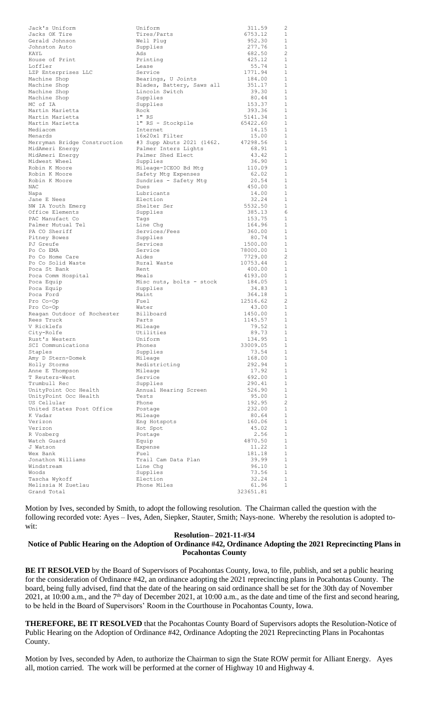| Jack's Uniform                     | Uniform                   | 311.59           | 2                            |
|------------------------------------|---------------------------|------------------|------------------------------|
| Jacks OK Tire                      | Tires/Parts               | 6753.12          | $\mathbf{1}$                 |
| Gerald Johnson                     | Well Plug                 | 952.30           | 1                            |
| Johnston Auto                      | Supplies                  | 277.76           | $\mathbf{1}$                 |
| KAYL                               | Ads                       | 682.50           | 2                            |
| House of Print                     | Printing                  | 425.12           | $\mathbf{1}$                 |
| Loffler                            | Lease                     | 55.74            | 1                            |
| LZP Enterprises LLC                | Service                   | 1771.94          | $\mathbf{1}$                 |
| Machine Shop                       | Bearings, U Joints        | 184.00           | 1                            |
| Machine Shop                       | Blades, Battery, Saws all | 351.17           | $\mathbf{1}$                 |
| Machine Shop                       | Lincoln Switch            | 39.30            | $\mathbf{1}$                 |
| Machine Shop                       | Supplies                  | 80.44            | $\mathbf{1}$                 |
| MC of IA                           | Supplies                  | 153.37           | $\mathbf{1}$                 |
| Martin Marietta                    | Rock                      | 393.36           | $\mathbf{1}$                 |
| Martin Marietta                    | 1"RS                      | 5141.34          | $\mathbf{1}$                 |
| Martin Marietta                    | 1" RS - Stockpile         | 65422.60         | $\mathbf{1}$                 |
| Mediacom                           | Internet                  | 14.15            | 1                            |
| Menards                            | 16x20x1 Filter            | 15.00            | $\mathbf{1}$                 |
| Merryman Bridge Construction       | #3 Supp Abuts 2021 (1462. | 47298.56         | $\mathbf{1}$                 |
| MidAmeri Energy                    | Palmer Inters Lights      | 68.91            | 1                            |
| MidAmeri Energy                    | Palmer Shed Elect         | 43.42            | $\mathbf{1}$                 |
| Midwest Wheel                      | Supplies                  | 36.90            | $\mathbf{1}$                 |
| Robin K Moore                      | Mileage-ICEOO Bd Mtg      | 110.09           | $\mathbf{1}$                 |
| Robin K Moore                      | Safety Mtg Expenses       | 62.02            | $\mathbf{1}$                 |
| Robin K Moore                      | Sundries - Safety Mtg     | 20.54            | $\mathbf{1}$                 |
| NAC                                | Dues                      | 450.00           | $\mathbf{1}$                 |
| Napa                               | Lubricants                | 14.00            | $\mathbf{1}$                 |
| Jane E Nees                        | Election                  | 32.24            | $\mathbf{1}$                 |
| NW IA Youth Emerg                  | Shelter Ser               | 5532.50          | $\mathbf{1}$                 |
| Office Elements                    | Supplies                  | 385.13           | 6                            |
| PAC Manufact Co                    | Tags                      | 153.75           | $\mathbf{1}$<br>$\mathbf{1}$ |
| Palmer Mutual Tel<br>PA CO Sheriff | Line Chq<br>Services/Fees | 164.96<br>360.00 | $\mathbf{1}$                 |
| Pitney Bowes                       | Supplies                  | 80.74            | $\mathbf{1}$                 |
| PJ Greufe                          | Services                  | 1500.00          | $\mathbf{1}$                 |
| Po Co EMA                          | Service                   | 78000.00         | 1                            |
| Po Co Home Care                    | Aides                     | 7729.00          | 2                            |
| Po Co Solid Waste                  | Rural Waste               | 10753.44         | $\mathbf{1}$                 |
| Poca St Bank                       | Rent                      | 400.00           | 1                            |
| Poca Comm Hospital                 | Meals                     | 4193.00          | 1                            |
| Poca Equip                         | Misc nuts, bolts - stock  | 184.05           | $\mathbf{1}$                 |
| Poca Equip                         | Supplies                  | 34.83            | 1                            |
| Poca Ford                          | Maint                     | 364.18           | $\mathbf{1}$                 |
| Pro Co-Op                          | Fuel                      | 12516.62         | 2                            |
| Pro Co-Op                          | Water                     | 43.00            | $\mathbf{1}$                 |
| Reagan Outdoor of Rochester        | Billboard                 | 1450.00          | $\mathbf{1}$                 |
| Rees Truck                         | Parts                     | 1145.57          | $\mathbf{1}$                 |
| V Ricklefs                         | Mileage                   | 79.52            | 1                            |
| City-Rolfe                         | Utilities                 | 89.73            | $\mathbf{1}$                 |
| Rust's Western                     | Uniform                   | 134.95           | $\mathbf{1}$                 |
| SCI Communications                 | Phones<br>Supplies        | 33009.05         | $\mathbf{1}$<br>$\mathbf{1}$ |
| Staples                            |                           | 73.54<br>168.00  | $\mathbf{1}$                 |
| Amy D Stern-Domek<br>Holly Storms  | Mileage<br>Redistricting  | 292.94           | $\mathbf{1}$                 |
| Anne E Thompson                    | Mileage                   | 17.92            | $\mathbf{1}$                 |
| T Reuters-West                     | Service                   | 692.00           | $\mathbf{1}$                 |
| Trumbull Rec                       | Supplies                  | 290.41           | $\mathbf{1}$                 |
| UnityPoint Occ Health              | Annual Hearing Screen     | 526.90           | $\mathbf{1}$                 |
| UnityPoint Occ Health              | Tests                     | 95.00            | $\mathbf{1}$                 |
| US Cellular                        | Phone                     | 192.95           | 2                            |
| United States Post Office          | Postage                   | 232.00           | $\mathbf{1}$                 |
| K Vadar                            | Mileage                   | 80.64            | $\mathbf{1}$                 |
| Verizon                            | Eng Hotspots              | 160.06           | $\mathbf{1}$                 |
| Verizon                            | Hot Spot                  | 45.02            | $\mathbf{1}$                 |
| R Vosberg                          | Postage                   | 2.56             | $\mathbf{1}$                 |
| Watch Guard                        | Equip                     | 4870.50          | $\mathbf{1}$                 |
| J Watson                           | Expense                   | 11.22            | $\mathbf{1}$                 |
| Wex Bank                           | Fuel                      | 181.18           | $\mathbf{1}$                 |
| Jonathon Williams                  | Trail Cam Data Plan       | 39.99<br>96.10   | $\mathbf{1}$<br>$\mathbf{1}$ |
| Windstream<br>Woods                | Line Chg<br>Supplies      | 73.56            | $\mathbf{1}$                 |
| Tascha Wykoff                      | Election                  | 32.24            | $\mathbf{1}$                 |
| Melissia M Zuetlau                 | Phone Miles               | 61.96            | $\mathbf{1}$                 |
| Grand Total                        |                           | 323651.81        |                              |
|                                    |                           |                  |                              |

Motion by Ives, seconded by Smith, to adopt the following resolution. The Chairman called the question with the following recorded vote: Ayes – Ives, Aden, Siepker, Stauter, Smith; Nays-none. Whereby the resolution is adopted towit:

## **Resolution– 2021-11-#34**

## **Notice of Public Hearing on the Adoption of Ordinance #42, Ordinance Adopting the 2021 Reprecincting Plans in Pocahontas County**

**BE IT RESOLVED** by the Board of Supervisors of Pocahontas County, Iowa, to file, publish, and set a public hearing for the consideration of Ordinance #42, an ordinance adopting the 2021 reprecincting plans in Pocahontas County. The board, being fully advised, find that the date of the hearing on said ordinance shall be set for the 30th day of November 2021, at 10:00 a.m., and the  $7<sup>th</sup>$  day of December 2021, at 10:00 a.m., as the date and time of the first and second hearing, to be held in the Board of Supervisors' Room in the Courthouse in Pocahontas County, Iowa.

**THEREFORE, BE IT RESOLVED** that the Pocahontas County Board of Supervisors adopts the Resolution-Notice of Public Hearing on the Adoption of Ordinance #42, Ordinance Adopting the 2021 Reprecincting Plans in Pocahontas County.

Motion by Ives, seconded by Aden, to authorize the Chairman to sign the State ROW permit for Alliant Energy. Ayes all, motion carried. The work will be performed at the corner of Highway 10 and Highway 4.